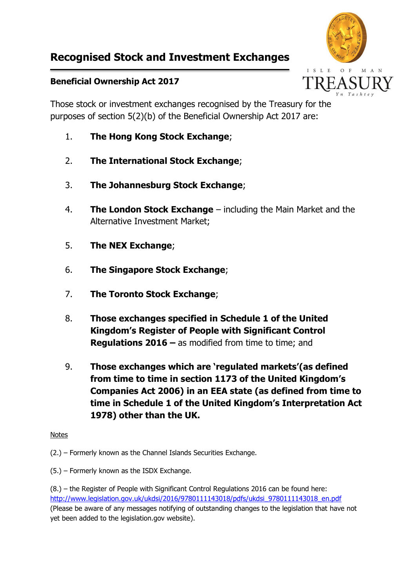## **Recognised Stock and Investment Exchanges**



## **Beneficial Ownership Act 2017**

Those stock or investment exchanges recognised by the Treasury for the purposes of section 5(2)(b) of the Beneficial Ownership Act 2017 are:

- 1. **The Hong Kong Stock Exchange**;
- 2. **The International Stock Exchange**;
- 3. **The Johannesburg Stock Exchange**;
- 4. **The London Stock Exchange** including the Main Market and the Alternative Investment Market;
- 5. **The NEX Exchange**;
- 6. **The Singapore Stock Exchange**;
- 7. **The Toronto Stock Exchange**;
- 8. **Those exchanges specified in Schedule 1 of the United Kingdom's Register of People with Significant Control Regulations 2016 –** as modified from time to time; and
- 9. **Those exchanges which are 'regulated markets'(as defined from time to time in section 1173 of the United Kingdom's Companies Act 2006) in an EEA state (as defined from time to time in Schedule 1 of the United Kingdom's Interpretation Act 1978) other than the UK.**

## Notes

(2.) – Formerly known as the Channel Islands Securities Exchange.

(5.) – Formerly known as the ISDX Exchange.

(8.) – the Register of People with Significant Control Regulations 2016 can be found here: [http://www.legislation.gov.uk/ukdsi/2016/9780111143018/pdfs/ukdsi\\_9780111143018\\_en.pdf](http://www.legislation.gov.uk/ukdsi/2016/9780111143018/pdfs/ukdsi_9780111143018_en.pdf) (Please be aware of any messages notifying of outstanding changes to the legislation that have not yet been added to the legislation.gov website).